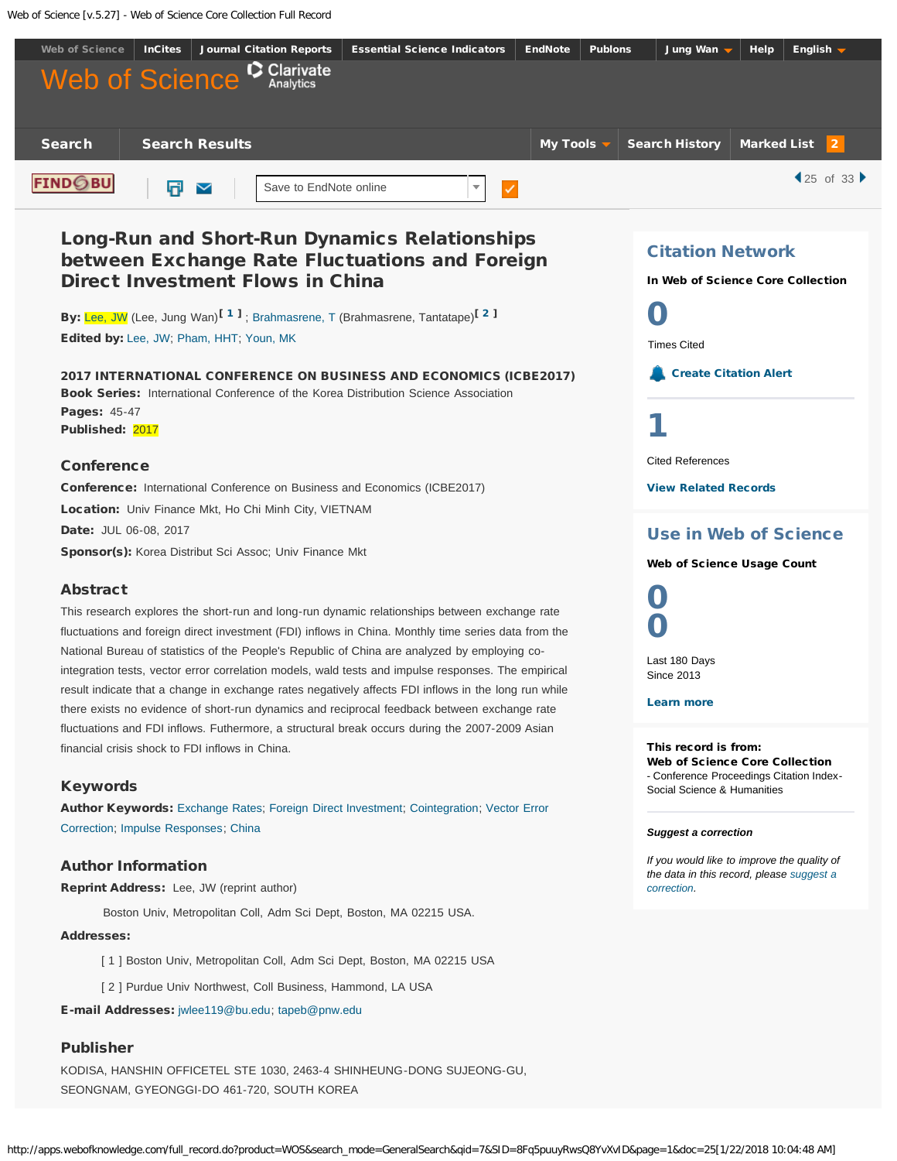<span id="page-0-2"></span>Web of Science [v.5.27] - Web of Science Core Collection Full Record



## <span id="page-0-1"></span><span id="page-0-0"></span>Publisher

KODISA, HANSHIN OFFICETEL STE 1030, 2463-4 SHINHEUNG-DONG SUJEONG-GU, SEONGNAM, GYEONGGI-DO 461-720, SOUTH KOREA